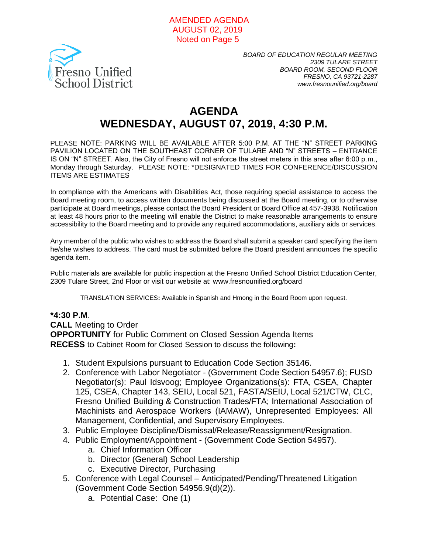#### AMENDED AGENDA AUGUST 02, 2019 Noted on Page 5



*BOARD OF EDUCATION REGULAR MEETING 2309 TULARE STREET BOARD ROOM, SECOND FLOOR FRESNO, CA 93721-2287 www.fresnounified.org/board*

# **AGENDA WEDNESDAY, AUGUST 07, 2019, 4:30 P.M.**

PLEASE NOTE: PARKING WILL BE AVAILABLE AFTER 5:00 P.M. AT THE "N" STREET PARKING PAVILION LOCATED ON THE SOUTHEAST CORNER OF TULARE AND "N" STREETS – ENTRANCE IS ON "N" STREET. Also, the City of Fresno will not enforce the street meters in this area after 6:00 p.m., Monday through Saturday. PLEASE NOTE: \*DESIGNATED TIMES FOR CONFERENCE/DISCUSSION ITEMS ARE ESTIMATES

In compliance with the Americans with Disabilities Act, those requiring special assistance to access the Board meeting room, to access written documents being discussed at the Board meeting, or to otherwise participate at Board meetings, please contact the Board President or Board Office at 457-3938. Notification at least 48 hours prior to the meeting will enable the District to make reasonable arrangements to ensure accessibility to the Board meeting and to provide any required accommodations, auxiliary aids or services.

Any member of the public who wishes to address the Board shall submit a speaker card specifying the item he/she wishes to address. The card must be submitted before the Board president announces the specific agenda item.

Public materials are available for public inspection at the Fresno Unified School District Education Center, 2309 Tulare Street, 2nd Floor or visit our website at: www.fresnounified.org/board

TRANSLATION SERVICES**:** Available in Spanish and Hmong in the Board Room upon request.

#### **\*4:30 P.M**.

#### **CALL** Meeting to Order

**OPPORTUNITY** for Public Comment on Closed Session Agenda Items **RECESS** to Cabinet Room for Closed Session to discuss the following**:**

- 1. Student Expulsions pursuant to Education Code Section 35146.
- 2. Conference with Labor Negotiator (Government Code Section 54957.6); FUSD Negotiator(s): Paul Idsvoog; Employee Organizations(s): FTA, CSEA, Chapter 125, CSEA, Chapter 143, SEIU, Local 521, FASTA/SEIU, Local 521/CTW, CLC, Fresno Unified Building & Construction Trades/FTA; International Association of Machinists and Aerospace Workers (IAMAW), Unrepresented Employees: All Management, Confidential, and Supervisory Employees.
- 3. Public Employee Discipline/Dismissal/Release/Reassignment/Resignation.
- 4. Public Employment/Appointment (Government Code Section 54957).
	- a. Chief Information Officer
	- b. Director (General) School Leadership
	- c. Executive Director, Purchasing
- 5. Conference with Legal Counsel Anticipated/Pending/Threatened Litigation (Government Code Section 54956.9(d)(2)).
	- a. Potential Case: One (1)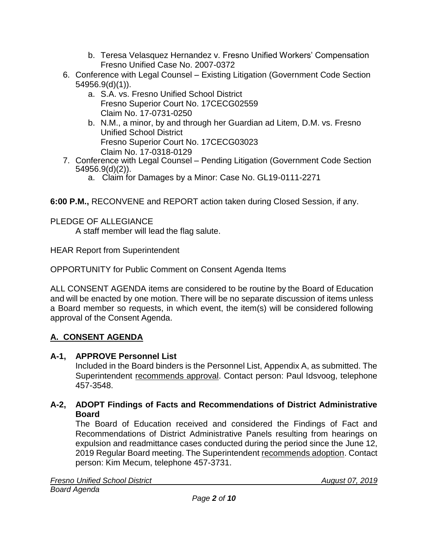- b. Teresa Velasquez Hernandez v. Fresno Unified Workers' Compensation Fresno Unified Case No. 2007-0372
- 6. Conference with Legal Counsel Existing Litigation (Government Code Section 54956.9(d)(1)).
	- a. S.A. vs. Fresno Unified School District Fresno Superior Court No. 17CECG02559 Claim No. 17-0731-0250
	- b. N.M., a minor, by and through her Guardian ad Litem, D.M. vs. Fresno Unified School District Fresno Superior Court No. 17CECG03023 Claim No. 17-0318-0129
- 7. Conference with Legal Counsel Pending Litigation (Government Code Section 54956.9(d)(2)).
	- a. Claim for Damages by a Minor: Case No. GL19-0111-2271

**6:00 P.M.,** RECONVENE and REPORT action taken during Closed Session, if any.

PLEDGE OF ALLEGIANCE

A staff member will lead the flag salute.

HEAR Report from Superintendent

OPPORTUNITY for Public Comment on Consent Agenda Items

ALL CONSENT AGENDA items are considered to be routine by the Board of Education and will be enacted by one motion. There will be no separate discussion of items unless a Board member so requests, in which event, the item(s) will be considered following approval of the Consent Agenda.

## **A. CONSENT AGENDA**

## **A-1, APPROVE Personnel List**

Included in the Board binders is the Personnel List, Appendix A, as submitted. The Superintendent recommends approval. Contact person: Paul Idsvoog, telephone 457-3548.

## **A-2, ADOPT Findings of Facts and Recommendations of District Administrative Board**

The Board of Education received and considered the Findings of Fact and Recommendations of District Administrative Panels resulting from hearings on expulsion and readmittance cases conducted during the period since the June 12, 2019 Regular Board meeting. The Superintendent recommends adoption. Contact person: Kim Mecum, telephone 457-3731.

**Fresno Unified School District August 07, 2019** *Board Agenda*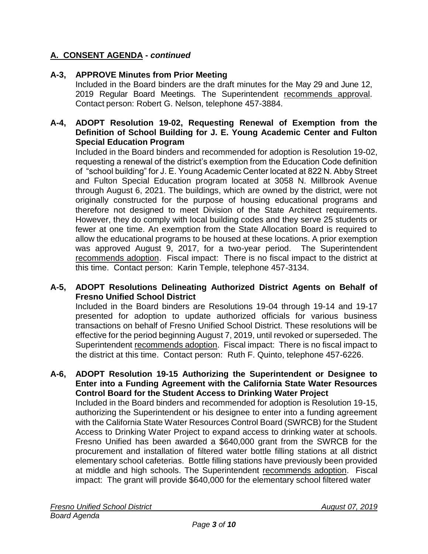## **A-3, APPROVE Minutes from Prior Meeting**

Included in the Board binders are the draft minutes for the May 29 and June 12, 2019 Regular Board Meetings. The Superintendent recommends approval. Contact person: Robert G. Nelson, telephone 457-3884.

### **A-4, ADOPT Resolution 19-02, Requesting Renewal of Exemption from the Definition of School Building for J. E. Young Academic Center and Fulton Special Education Program**

Included in the Board binders and recommended for adoption is Resolution 19-02, requesting a renewal of the district's exemption from the Education Code definition of "school building" for J. E. Young Academic Center located at 822 N. Abby Street and Fulton Special Education program located at 3058 N. Millbrook Avenue through August 6, 2021. The buildings, which are owned by the district, were not originally constructed for the purpose of housing educational programs and therefore not designed to meet Division of the State Architect requirements. However, they do comply with local building codes and they serve 25 students or fewer at one time. An exemption from the State Allocation Board is required to allow the educational programs to be housed at these locations. A prior exemption was approved August 9, 2017, for a two-year period. The Superintendent recommends adoption. Fiscal impact: There is no fiscal impact to the district at this time. Contact person: Karin Temple, telephone 457-3134.

### **A-5, ADOPT Resolutions Delineating Authorized District Agents on Behalf of Fresno Unified School District**

Included in the Board binders are Resolutions 19-04 through 19-14 and 19-17 presented for adoption to update authorized officials for various business transactions on behalf of Fresno Unified School District. These resolutions will be effective for the period beginning August 7, 2019, until revoked or superseded. The Superintendent recommends adoption. Fiscal impact: There is no fiscal impact to the district at this time. Contact person: Ruth F. Quinto, telephone 457-6226.

#### **A-6, ADOPT Resolution 19-15 Authorizing the Superintendent or Designee to Enter into a Funding Agreement with the California State Water Resources Control Board for the Student Access to Drinking Water Project**

Included in the Board binders and recommended for adoption is Resolution 19-15, authorizing the Superintendent or his designee to enter into a funding agreement with the California State Water Resources Control Board (SWRCB) for the Student Access to Drinking Water Project to expand access to drinking water at schools. Fresno Unified has been awarded a \$640,000 grant from the SWRCB for the procurement and installation of filtered water bottle filling stations at all district elementary school cafeterias. Bottle filling stations have previously been provided at middle and high schools. The Superintendent recommends adoption. Fiscal impact: The grant will provide \$640,000 for the elementary school filtered water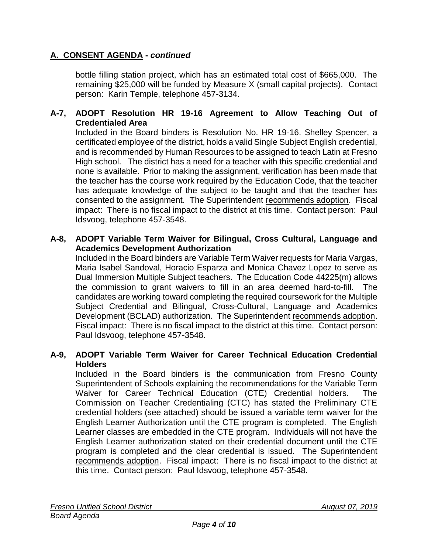bottle filling station project, which has an estimated total cost of \$665,000. The remaining \$25,000 will be funded by Measure X (small capital projects). Contact person: Karin Temple, telephone 457-3134.

## **A-7, ADOPT Resolution HR 19-16 Agreement to Allow Teaching Out of Credentialed Area**

Included in the Board binders is Resolution No. HR 19-16. Shelley Spencer, a certificated employee of the district, holds a valid Single Subject English credential, and is recommended by Human Resources to be assigned to teach Latin at Fresno High school. The district has a need for a teacher with this specific credential and none is available. Prior to making the assignment, verification has been made that the teacher has the course work required by the Education Code, that the teacher has adequate knowledge of the subject to be taught and that the teacher has consented to the assignment. The Superintendent recommends adoption. Fiscal impact: There is no fiscal impact to the district at this time. Contact person: Paul Idsvoog, telephone 457-3548.

#### **A-8, ADOPT Variable Term Waiver for Bilingual, Cross Cultural, Language and Academics Development Authorization**

Included in the Board binders are Variable Term Waiver requests for Maria Vargas, Maria Isabel Sandoval, Horacio Esparza and Monica Chavez Lopez to serve as Dual Immersion Multiple Subject teachers. The Education Code 44225(m) allows the commission to grant waivers to fill in an area deemed hard-to-fill. The candidates are working toward completing the required coursework for the Multiple Subject Credential and Bilingual, Cross-Cultural, Language and Academics Development (BCLAD) authorization. The Superintendent recommends adoption. Fiscal impact: There is no fiscal impact to the district at this time. Contact person: Paul Idsvoog, telephone 457-3548.

#### **A-9, ADOPT Variable Term Waiver for Career Technical Education Credential Holders**

Included in the Board binders is the communication from Fresno County Superintendent of Schools explaining the recommendations for the Variable Term Waiver for Career Technical Education (CTE) Credential holders. The Commission on Teacher Credentialing (CTC) has stated the Preliminary CTE credential holders (see attached) should be issued a variable term waiver for the English Learner Authorization until the CTE program is completed. The English Learner classes are embedded in the CTE program. Individuals will not have the English Learner authorization stated on their credential document until the CTE program is completed and the clear credential is issued. The Superintendent recommends adoption. Fiscal impact: There is no fiscal impact to the district at this time. Contact person: Paul Idsvoog, telephone 457-3548.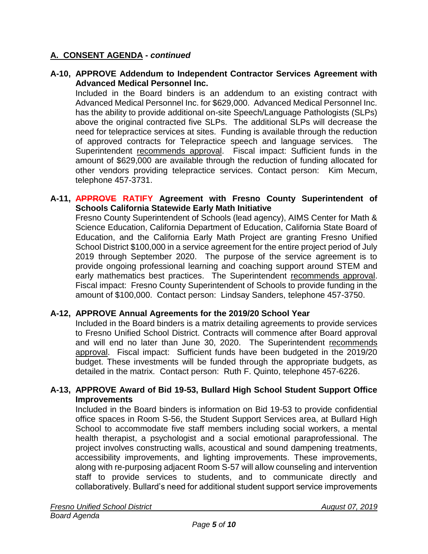**A-10, APPROVE Addendum to Independent Contractor Services Agreement with Advanced Medical Personnel Inc.**

Included in the Board binders is an addendum to an existing contract with Advanced Medical Personnel Inc. for \$629,000. Advanced Medical Personnel Inc. has the ability to provide additional on-site Speech/Language Pathologists (SLPs) above the original contracted five SLPs. The additional SLPs will decrease the need for telepractice services at sites. Funding is available through the reduction of approved contracts for Telepractice speech and language services. The Superintendent recommends approval. Fiscal impact: Sufficient funds in the amount of \$629,000 are available through the reduction of funding allocated for other vendors providing telepractice services. Contact person: Kim Mecum, telephone 457-3731.

#### **A-11, APPROVE RATIFY Agreement with Fresno County Superintendent of Schools California Statewide Early Math Initiative**

Fresno County Superintendent of Schools (lead agency), AIMS Center for Math & Science Education, California Department of Education, California State Board of Education, and the California Early Math Project are granting Fresno Unified School District \$100,000 in a service agreement for the entire project period of July 2019 through September 2020. The purpose of the service agreement is to provide ongoing professional learning and coaching support around STEM and early mathematics best practices. The Superintendent recommends approval. Fiscal impact: Fresno County Superintendent of Schools to provide funding in the amount of \$100,000. Contact person: Lindsay Sanders, telephone 457-3750.

## **A-12, APPROVE Annual Agreements for the 2019/20 School Year**

Included in the Board binders is a matrix detailing agreements to provide services to Fresno Unified School District. Contracts will commence after Board approval and will end no later than June 30, 2020. The Superintendent recommends approval. Fiscal impact: Sufficient funds have been budgeted in the 2019/20 budget. These investments will be funded through the appropriate budgets, as detailed in the matrix. Contact person: Ruth F. Quinto, telephone 457-6226.

### **A-13, APPROVE Award of Bid 19-53, Bullard High School Student Support Office Improvements**

Included in the Board binders is information on Bid 19-53 to provide confidential office spaces in Room S-56, the Student Support Services area, at Bullard High School to accommodate five staff members including social workers, a mental health therapist, a psychologist and a social emotional paraprofessional. The project involves constructing walls, acoustical and sound dampening treatments, accessibility improvements, and lighting improvements. These improvements, along with re-purposing adjacent Room S-57 will allow counseling and intervention staff to provide services to students, and to communicate directly and collaboratively. Bullard's need for additional student support service improvements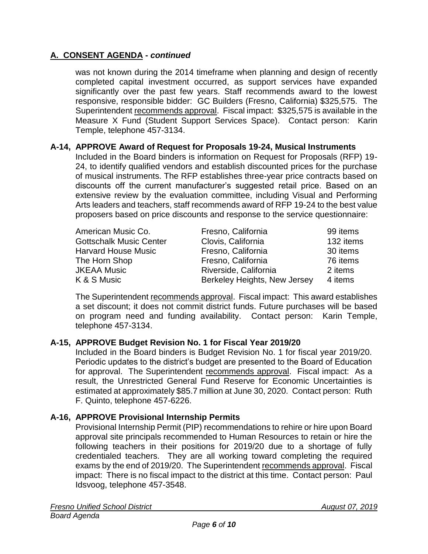was not known during the 2014 timeframe when planning and design of recently completed capital investment occurred, as support services have expanded significantly over the past few years. Staff recommends award to the lowest responsive, responsible bidder: GC Builders (Fresno, California) \$325,575. The Superintendent recommends approval. Fiscal impact: \$325,575 is available in the Measure X Fund (Student Support Services Space). Contact person: Karin Temple, telephone 457-3134.

## **A-14, APPROVE Award of Request for Proposals 19-24, Musical Instruments**

Included in the Board binders is information on Request for Proposals (RFP) 19- 24, to identify qualified vendors and establish discounted prices for the purchase of musical instruments. The RFP establishes three-year price contracts based on discounts off the current manufacturer's suggested retail price. Based on an extensive review by the evaluation committee, including Visual and Performing Arts leaders and teachers, staff recommends award of RFP 19-24 to the best value proposers based on price discounts and response to the service questionnaire:

| American Music Co.             | Fresno, California           | 99 items  |
|--------------------------------|------------------------------|-----------|
| <b>Gottschalk Music Center</b> | Clovis, California           | 132 items |
| <b>Harvard House Music</b>     | Fresno, California           | 30 items  |
| The Horn Shop                  | Fresno, California           | 76 items  |
| <b>JKEAA Music</b>             | Riverside, California        | 2 items   |
| K & S Music                    | Berkeley Heights, New Jersey | 4 items   |

The Superintendent recommends approval. Fiscal impact: This award establishes a set discount; it does not commit district funds. Future purchases will be based on program need and funding availability. Contact person: Karin Temple, telephone 457-3134.

## **A-15, APPROVE Budget Revision No. 1 for Fiscal Year 2019/20**

Included in the Board binders is Budget Revision No. 1 for fiscal year 2019/20. Periodic updates to the district's budget are presented to the Board of Education for approval. The Superintendent recommends approval. Fiscal impact: As a result, the Unrestricted General Fund Reserve for Economic Uncertainties is estimated at approximately \$85.7 million at June 30, 2020. Contact person: Ruth F. Quinto, telephone 457-6226.

## **A-16, APPROVE Provisional Internship Permits**

Provisional Internship Permit (PIP) recommendations to rehire or hire upon Board approval site principals recommended to Human Resources to retain or hire the following teachers in their positions for 2019/20 due to a shortage of fully credentialed teachers. They are all working toward completing the required exams by the end of 2019/20. The Superintendent recommends approval. Fiscal impact: There is no fiscal impact to the district at this time. Contact person: Paul Idsvoog, telephone 457-3548.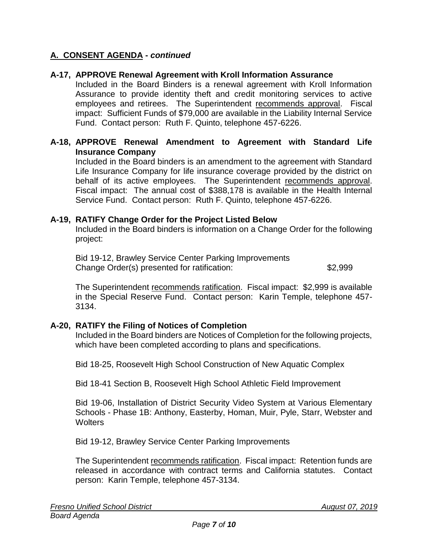## **A-17, APPROVE Renewal Agreement with Kroll Information Assurance**

Included in the Board Binders is a renewal agreement with Kroll Information Assurance to provide identity theft and credit monitoring services to active employees and retirees. The Superintendent recommends approval. Fiscal impact: Sufficient Funds of \$79,000 are available in the Liability Internal Service Fund. Contact person: Ruth F. Quinto, telephone 457-6226.

### **A-18, APPROVE Renewal Amendment to Agreement with Standard Life Insurance Company**

Included in the Board binders is an amendment to the agreement with Standard Life Insurance Company for life insurance coverage provided by the district on behalf of its active employees. The Superintendent recommends approval. Fiscal impact: The annual cost of \$388,178 is available in the Health Internal Service Fund. Contact person: Ruth F. Quinto, telephone 457-6226.

#### **A-19, RATIFY Change Order for the Project Listed Below**

Included in the Board binders is information on a Change Order for the following project:

Bid 19-12, Brawley Service Center Parking Improvements Change Order(s) presented for ratification: \$2,999

The Superintendent recommends ratification. Fiscal impact: \$2,999 is available in the Special Reserve Fund. Contact person: Karin Temple, telephone 457- 3134.

#### **A-20, RATIFY the Filing of Notices of Completion**

Included in the Board binders are Notices of Completion for the following projects, which have been completed according to plans and specifications.

Bid 18-25, Roosevelt High School Construction of New Aquatic Complex

Bid 18-41 Section B, Roosevelt High School Athletic Field Improvement

Bid 19-06, Installation of District Security Video System at Various Elementary Schools - Phase 1B: Anthony, Easterby, Homan, Muir, Pyle, Starr, Webster and **Wolters** 

Bid 19-12, Brawley Service Center Parking Improvements

The Superintendent recommends ratification. Fiscal impact: Retention funds are released in accordance with contract terms and California statutes. Contact person: Karin Temple, telephone 457-3134.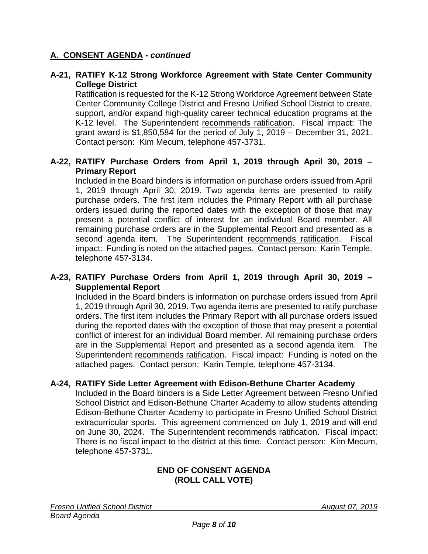### **A-21, RATIFY K-12 Strong Workforce Agreement with State Center Community College District**

Ratification is requested for the K-12 Strong Workforce Agreement between State Center Community College District and Fresno Unified School District to create, support, and/or expand high-quality career technical education programs at the K-12 level. The Superintendent recommends ratification. Fiscal impact: The grant award is \$1,850,584 for the period of July 1, 2019 – December 31, 2021. Contact person: Kim Mecum, telephone 457-3731.

## **A-22, RATIFY Purchase Orders from April 1, 2019 through April 30, 2019 – Primary Report**

Included in the Board binders is information on purchase orders issued from April 1, 2019 through April 30, 2019. Two agenda items are presented to ratify purchase orders. The first item includes the Primary Report with all purchase orders issued during the reported dates with the exception of those that may present a potential conflict of interest for an individual Board member. All remaining purchase orders are in the Supplemental Report and presented as a second agenda item. The Superintendent recommends ratification. Fiscal impact: Funding is noted on the attached pages. Contact person: Karin Temple, telephone 457-3134.

## **A-23, RATIFY Purchase Orders from April 1, 2019 through April 30, 2019 – Supplemental Report**

Included in the Board binders is information on purchase orders issued from April 1, 2019 through April 30, 2019. Two agenda items are presented to ratify purchase orders. The first item includes the Primary Report with all purchase orders issued during the reported dates with the exception of those that may present a potential conflict of interest for an individual Board member. All remaining purchase orders are in the Supplemental Report and presented as a second agenda item. The Superintendent recommends ratification. Fiscal impact: Funding is noted on the attached pages. Contact person: Karin Temple, telephone 457-3134.

#### **A-24, RATIFY Side Letter Agreement with Edison-Bethune Charter Academy**

Included in the Board binders is a Side Letter Agreement between Fresno Unified School District and Edison-Bethune Charter Academy to allow students attending Edison-Bethune Charter Academy to participate in Fresno Unified School District extracurricular sports. This agreement commenced on July 1, 2019 and will end on June 30, 2024. The Superintendent recommends ratification. Fiscal impact: There is no fiscal impact to the district at this time. Contact person: Kim Mecum, telephone 457-3731.

### **END OF CONSENT AGENDA (ROLL CALL VOTE)**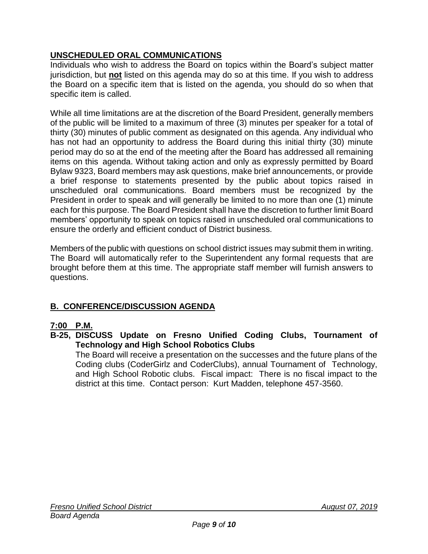## **UNSCHEDULED ORAL COMMUNICATIONS**

Individuals who wish to address the Board on topics within the Board's subject matter jurisdiction, but **not** listed on this agenda may do so at this time. If you wish to address the Board on a specific item that is listed on the agenda, you should do so when that specific item is called.

While all time limitations are at the discretion of the Board President, generally members of the public will be limited to a maximum of three (3) minutes per speaker for a total of thirty (30) minutes of public comment as designated on this agenda. Any individual who has not had an opportunity to address the Board during this initial thirty (30) minute period may do so at the end of the meeting after the Board has addressed all remaining items on this agenda. Without taking action and only as expressly permitted by Board Bylaw 9323, Board members may ask questions, make brief announcements, or provide a brief response to statements presented by the public about topics raised in unscheduled oral communications. Board members must be recognized by the President in order to speak and will generally be limited to no more than one (1) minute each for this purpose. The Board President shall have the discretion to further limit Board members' opportunity to speak on topics raised in unscheduled oral communications to ensure the orderly and efficient conduct of District business.

Members of the public with questions on school district issues may submit them in writing. The Board will automatically refer to the Superintendent any formal requests that are brought before them at this time. The appropriate staff member will furnish answers to questions.

## **B. CONFERENCE/DISCUSSION AGENDA**

## **7:00 P.M.**

**B-25, DISCUSS Update on Fresno Unified Coding Clubs, Tournament of Technology and High School Robotics Clubs**

The Board will receive a presentation on the successes and the future plans of the Coding clubs (CoderGirlz and CoderClubs), annual Tournament of Technology, and High School Robotic clubs. Fiscal impact: There is no fiscal impact to the district at this time. Contact person: Kurt Madden, telephone 457-3560.